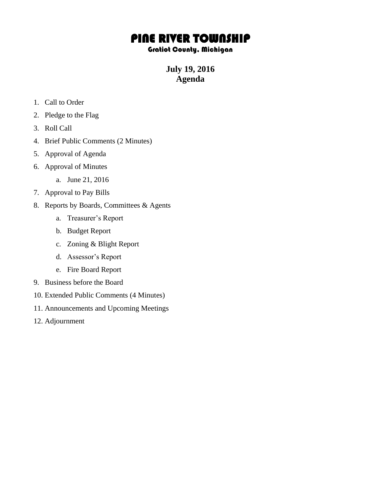## PINE RIVER TOWNSHIP

## Gratiot County, Michigan

**July 19, 2016 Agenda**

- 1. Call to Order
- 2. Pledge to the Flag
- 3. Roll Call
- 4. Brief Public Comments (2 Minutes)
- 5. Approval of Agenda
- 6. Approval of Minutes
	- a. June 21, 2016
- 7. Approval to Pay Bills
- 8. Reports by Boards, Committees & Agents
	- a. Treasurer's Report
	- b. Budget Report
	- c. Zoning & Blight Report
	- d. Assessor's Report
	- e. Fire Board Report
- 9. Business before the Board
- 10. Extended Public Comments (4 Minutes)
- 11. Announcements and Upcoming Meetings
- 12. Adjournment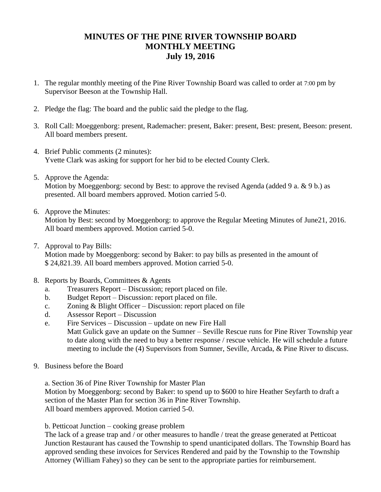## **MINUTES OF THE PINE RIVER TOWNSHIP BOARD MONTHLY MEETING July 19, 2016**

- 1. The regular monthly meeting of the Pine River Township Board was called to order at 7:00 pm by Supervisor Beeson at the Township Hall.
- 2. Pledge the flag: The board and the public said the pledge to the flag.
- 3. Roll Call: Moeggenborg: present, Rademacher: present, Baker: present, Best: present, Beeson: present. All board members present.
- 4. Brief Public comments (2 minutes): Yvette Clark was asking for support for her bid to be elected County Clerk.
- 5. Approve the Agenda: Motion by Moeggenborg: second by Best: to approve the revised Agenda (added 9 a. & 9 b.) as presented. All board members approved. Motion carried 5-0.
- 6. Approve the Minutes:

Motion by Best: second by Moeggenborg: to approve the Regular Meeting Minutes of June21, 2016. All board members approved. Motion carried 5-0.

- 7. Approval to Pay Bills: Motion made by Moeggenborg: second by Baker: to pay bills as presented in the amount of \$ 24,821.39. All board members approved. Motion carried 5-0.
- 8. Reports by Boards, Committees & Agents
	- a. Treasurers Report Discussion; report placed on file.
	- b. Budget Report Discussion: report placed on file.
	- c. Zoning & Blight Officer Discussion: report placed on file
	- d. Assessor Report Discussion
	- e. Fire Services Discussion update on new Fire Hall Matt Gulick gave an update on the Sumner – Seville Rescue runs for Pine River Township year to date along with the need to buy a better response / rescue vehicle. He will schedule a future meeting to include the (4) Supervisors from Sumner, Seville, Arcada, & Pine River to discuss.
- 9. Business before the Board

a. Section 36 of Pine River Township for Master Plan

Motion by Moeggenborg: second by Baker: to spend up to \$600 to hire Heather Seyfarth to draft a section of the Master Plan for section 36 in Pine River Township. All board members approved. Motion carried 5-0.

b. Petticoat Junction – cooking grease problem

The lack of a grease trap and / or other measures to handle / treat the grease generated at Petticoat Junction Restaurant has caused the Township to spend unanticipated dollars. The Township Board has approved sending these invoices for Services Rendered and paid by the Township to the Township Attorney (William Fahey) so they can be sent to the appropriate parties for reimbursement.